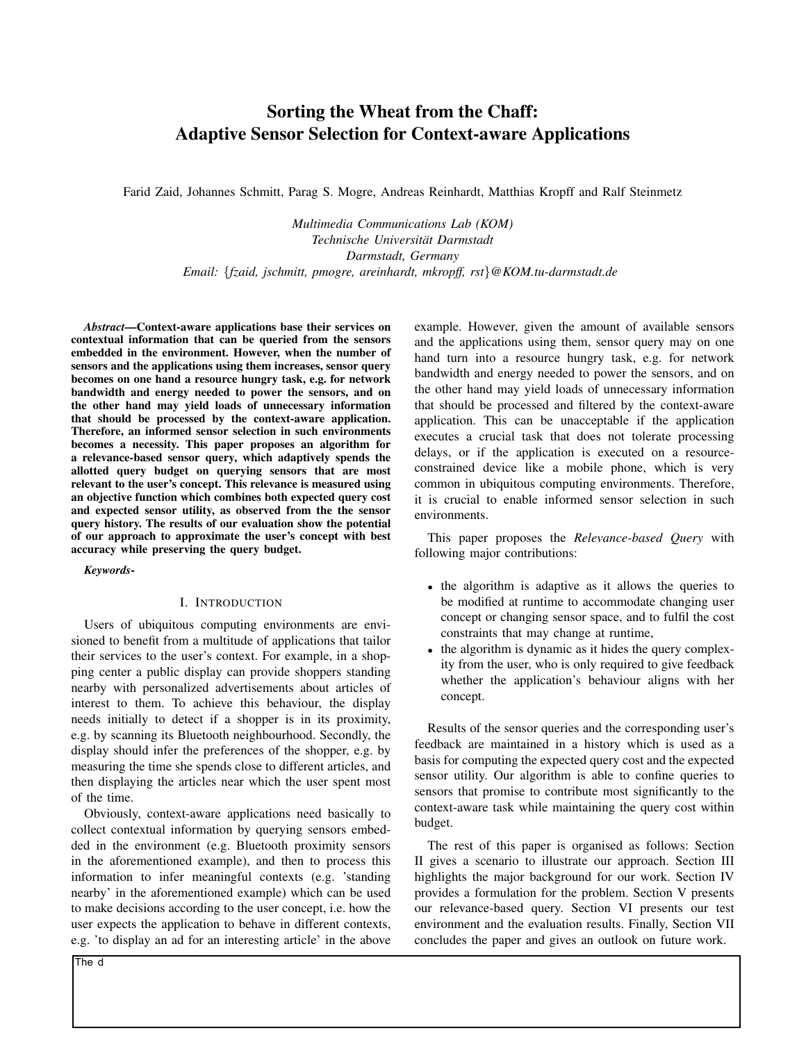# Sorting the Wheat from the Chaff: Adaptive Sensor Selection for Context-aware Applications

Farid Zaid, Johannes Schmitt, Parag S. Mogre, Andreas Reinhardt, Matthias Kropff and Ralf Steinmetz

*Multimedia Communications Lab (KOM) Technische Universitat Darmstadt ¨ Darmstadt, Germany Email:* {*fzaid, jschmitt, pmogre, areinhardt, mkropff, rst*}*@KOM.tu-darmstadt.de*

*Abstract*—Context-aware applications base their services on contextual information that can be queried from the sensors embedded in the environment. However, when the number of sensors and the applications using them increases, sensor query becomes on one hand a resource hungry task, e.g. for network bandwidth and energy needed to power the sensors, and on the other hand may yield loads of unnecessary information that should be processed by the context-aware application. Therefore, an informed sensor selection in such environments becomes a necessity. This paper proposes an algorithm for a relevance-based sensor query, which adaptively spends the allotted query budget on querying sensors that are most relevant to the user's concept. This relevance is measured using an objective function which combines both expected query cost and expected sensor utility, as observed from the the sensor query history. The results of our evaluation show the potential of our approach to approximate the user's concept with best accuracy while preserving the query budget.

*Keywords*-

### I. INTRODUCTION

Users of ubiquitous computing environments are envisioned to benefit from a multitude of applications that tailor their services to the user's context. For example, in a shopping center a public display can provide shoppers standing nearby with personalized advertisements about articles of interest to them. To achieve this behaviour, the display needs initially to detect if a shopper is in its proximity, e.g. by scanning its Bluetooth neighbourhood. Secondly, the display should infer the preferences of the shopper, e.g. by measuring the time she spends close to different articles, and then displaying the articles near which the user spent most of the time.

Obviously, context-aware applications need basically to collect contextual information by querying sensors embedded in the environment (e.g. Bluetooth proximity sensors in the aforementioned example), and then to process this information to infer meaningful contexts (e.g. 'standing nearby' in the aforementioned example) which can be used to make decisions according to the user concept, i.e. how the user expects the application to behave in different contexts, e.g. 'to display an ad for an interesting article' in the above example. However, given the amount of available sensors and the applications using them, sensor query may on one hand turn into a resource hungry task, e.g. for network bandwidth and energy needed to power the sensors, and on the other hand may yield loads of unnecessary information that should be processed and filtered by the context-aware application. This can be unacceptable if the application executes a crucial task that does not tolerate processing delays, or if the application is executed on a resourceconstrained device like a mobile phone, which is very common in ubiquitous computing environments. Therefore, it is crucial to enable informed sensor selection in such environments.

This paper proposes the *Relevance-based Query* with following major contributions:

- the algorithm is adaptive as it allows the queries to be modified at runtime to accommodate changing user concept or changing sensor space, and to fulfil the cost constraints that may change at runtime,
- the algorithm is dynamic as it hides the query complexity from the user, who is only required to give feedback whether the application's behaviour aligns with her concept.

Results of the sensor queries and the corresponding user's feedback are maintained in a history which is used as a basis for computing the expected query cost and the expected sensor utility. Our algorithm is able to confine queries to sensors that promise to contribute most significantly to the context-aware task while maintaining the query cost within budget.

The rest of this paper is organised as follows: Section II gives a scenario to illustrate our approach. Section III highlights the major background for our work. Section IV provides a formulation for the problem. Section V presents our relevance-based query. Section VI presents our test environment and the evaluation results. Finally, Section VII concludes the paper and gives an outlook on future work.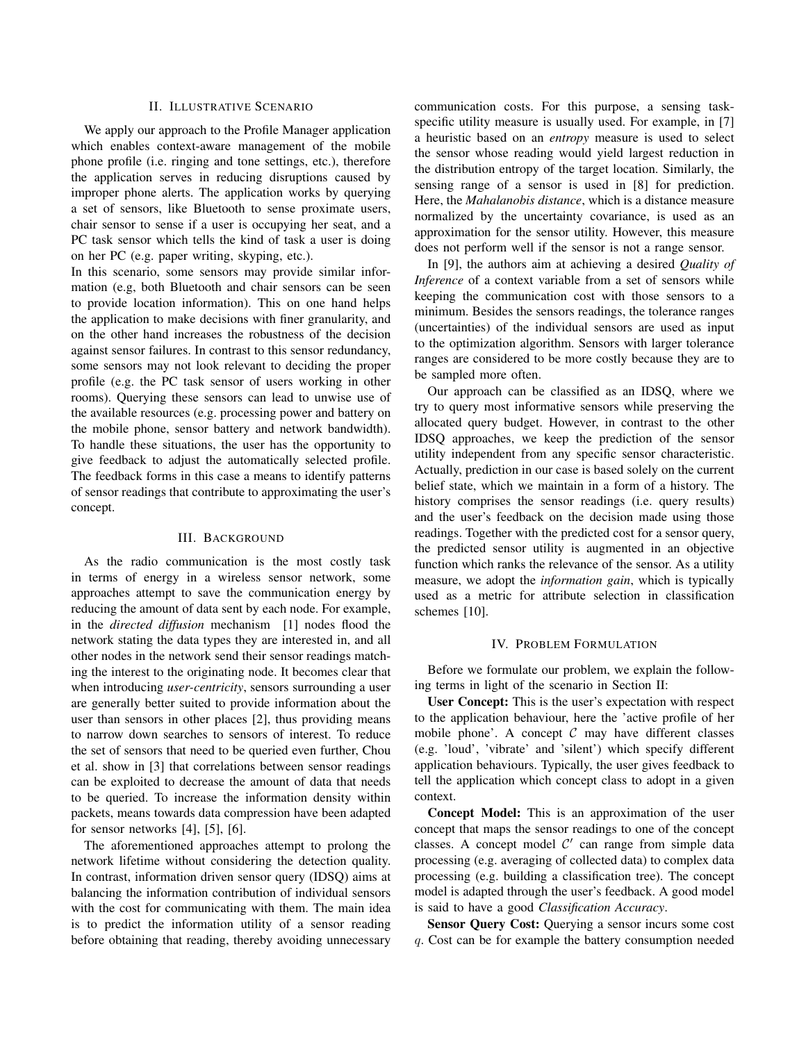## II. ILLUSTRATIVE SCENARIO

We apply our approach to the Profile Manager application which enables context-aware management of the mobile phone profile (i.e. ringing and tone settings, etc.), therefore the application serves in reducing disruptions caused by improper phone alerts. The application works by querying a set of sensors, like Bluetooth to sense proximate users, chair sensor to sense if a user is occupying her seat, and a PC task sensor which tells the kind of task a user is doing on her PC (e.g. paper writing, skyping, etc.).

In this scenario, some sensors may provide similar information (e.g, both Bluetooth and chair sensors can be seen to provide location information). This on one hand helps the application to make decisions with finer granularity, and on the other hand increases the robustness of the decision against sensor failures. In contrast to this sensor redundancy, some sensors may not look relevant to deciding the proper profile (e.g. the PC task sensor of users working in other rooms). Querying these sensors can lead to unwise use of the available resources (e.g. processing power and battery on the mobile phone, sensor battery and network bandwidth). To handle these situations, the user has the opportunity to give feedback to adjust the automatically selected profile. The feedback forms in this case a means to identify patterns of sensor readings that contribute to approximating the user's concept.

#### III. BACKGROUND

As the radio communication is the most costly task in terms of energy in a wireless sensor network, some approaches attempt to save the communication energy by reducing the amount of data sent by each node. For example, in the *directed diffusion* mechanism [1] nodes flood the network stating the data types they are interested in, and all other nodes in the network send their sensor readings matching the interest to the originating node. It becomes clear that when introducing *user-centricity*, sensors surrounding a user are generally better suited to provide information about the user than sensors in other places [2], thus providing means to narrow down searches to sensors of interest. To reduce the set of sensors that need to be queried even further, Chou et al. show in [3] that correlations between sensor readings can be exploited to decrease the amount of data that needs to be queried. To increase the information density within packets, means towards data compression have been adapted for sensor networks  $[4]$ ,  $[5]$ ,  $[6]$ .

The aforementioned approaches attempt to prolong the network lifetime without considering the detection quality. In contrast, information driven sensor query (IDSQ) aims at balancing the information contribution of individual sensors with the cost for communicating with them. The main idea is to predict the information utility of a sensor reading before obtaining that reading, thereby avoiding unnecessary communication costs. For this purpose, a sensing taskspecific utility measure is usually used. For example, in [7] a heuristic based on an *entropy* measure is used to select the sensor whose reading would yield largest reduction in the distribution entropy of the target location. Similarly, the sensing range of a sensor is used in [8] for prediction. Here, the *Mahalanobis distance*, which is a distance measure normalized by the uncertainty covariance, is used as an approximation for the sensor utility. However, this measure does not perform well if the sensor is not a range sensor.

In [9], the authors aim at achieving a desired *Quality of Inference* of a context variable from a set of sensors while keeping the communication cost with those sensors to a minimum. Besides the sensors readings, the tolerance ranges (uncertainties) of the individual sensors are used as input to the optimization algorithm. Sensors with larger tolerance ranges are considered to be more costly because they are to be sampled more often.

Our approach can be classified as an IDSQ, where we try to query most informative sensors while preserving the allocated query budget. However, in contrast to the other IDSQ approaches, we keep the prediction of the sensor utility independent from any specific sensor characteristic. Actually, prediction in our case is based solely on the current belief state, which we maintain in a form of a history. The history comprises the sensor readings (i.e. query results) and the user's feedback on the decision made using those readings. Together with the predicted cost for a sensor query, the predicted sensor utility is augmented in an objective function which ranks the relevance of the sensor. As a utility measure, we adopt the *information gain*, which is typically used as a metric for attribute selection in classification schemes [10].

## IV. PROBLEM FORMULATION

Before we formulate our problem, we explain the following terms in light of the scenario in Section II:

User Concept: This is the user's expectation with respect to the application behaviour, here the 'active profile of her mobile phone'. A concept  $C$  may have different classes (e.g. 'loud', 'vibrate' and 'silent') which specify different application behaviours. Typically, the user gives feedback to tell the application which concept class to adopt in a given context.

Concept Model: This is an approximation of the user concept that maps the sensor readings to one of the concept classes. A concept model  $C'$  can range from simple data processing (e.g. averaging of collected data) to complex data processing (e.g. building a classification tree). The concept model is adapted through the user's feedback. A good model is said to have a good *Classification Accuracy*.

Sensor Query Cost: Querying a sensor incurs some cost q. Cost can be for example the battery consumption needed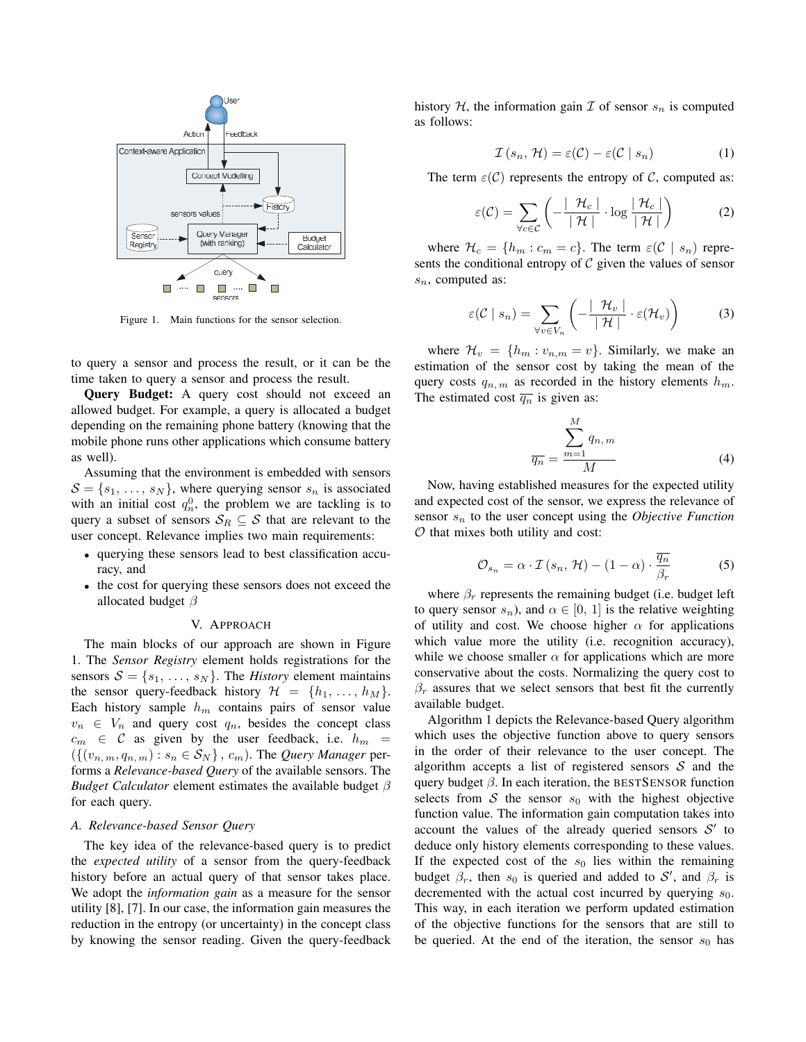

Figure 1. Main functions for the sensor selection.

to query a sensor and process the result, or it can be the time taken to query a sensor and process the result.

Query Budget: A query cost should not exceed an allowed budget. For example, a query is allocated a budget depending on the remaining phone battery (knowing that the mobile phone runs other applications which consume battery as well).

Assuming that the environment is embedded with sensors  $S = \{s_1, \ldots, s_N\}$ , where querying sensor  $s_n$  is associated with an initial cost  $q_n^0$ , the problem we are tackling is to query a subset of sensors  $S_R \subseteq S$  that are relevant to the user concept. Relevance implies two main requirements:

- querying these sensors lead to best classification accuracy, and
- the cost for querying these sensors does not exceed the allocated budget  $\beta$

#### V. APPROACH

The main blocks of our approach are shown in Figure 1. The *Sensor Registry* element holds registrations for the sensors  $S = \{s_1, \ldots, s_N\}$ . The *History* element maintains the sensor query-feedback history  $\mathcal{H} = \{h_1, \ldots, h_M\}.$ Each history sample  $h_m$  contains pairs of sensor value  $v_n \in V_n$  and query cost  $q_n$ , besides the concept class  $c_m \in \mathcal{C}$  as given by the user feedback, i.e.  $h_m =$  $({(v_{n,m}, q_{n,m}) : s_n \in S_N}, c_m)$ . The *Query Manager* performs a *Relevance-based Query* of the available sensors. The *Budget Calculator* element estimates the available budget  $\beta$ for each query.

# *A. Relevance-based Sensor Query*

The key idea of the relevance-based query is to predict the *expected utility* of a sensor from the query-feedback history before an actual query of that sensor takes place. We adopt the *information gain* as a measure for the sensor utility [8], [7]. In our case, the information gain measures the reduction in the entropy (or uncertainty) in the concept class by knowing the sensor reading. Given the query-feedback history  $H$ , the information gain  $I$  of sensor  $s_n$  is computed as follows:

$$
\mathcal{I}\left(s_{n},\,\mathcal{H}\right)=\varepsilon(\mathcal{C})-\varepsilon(\mathcal{C}\mid s_{n})\tag{1}
$$

The term  $\varepsilon(\mathcal{C})$  represents the entropy of  $\mathcal{C}$ , computed as:

$$
\varepsilon(\mathcal{C}) = \sum_{\forall c \in \mathcal{C}} \left( -\frac{\mid \mathcal{H}_c \mid}{\mid \mathcal{H} \mid} \cdot \log \frac{\mid \mathcal{H}_c \mid}{\mid \mathcal{H} \mid} \right) \tag{2}
$$

where  $\mathcal{H}_c = \{h_m : c_m = c\}$ . The term  $\varepsilon(\mathcal{C} \mid s_n)$  represents the conditional entropy of  $\mathcal C$  given the values of sensor  $s_n$ , computed as:

$$
\varepsilon(\mathcal{C} \mid s_n) = \sum_{\forall v \in V_n} \left( -\frac{\mid \mathcal{H}_v \mid}{\mid \mathcal{H} \mid} \cdot \varepsilon(\mathcal{H}_v) \right) \tag{3}
$$

where  $\mathcal{H}_v = \{h_m : v_{n,m} = v\}$ . Similarly, we make an estimation of the sensor cost by taking the mean of the query costs  $q_{n,m}$  as recorded in the history elements  $h_m$ . The estimated cost  $\overline{q_n}$  is given as:

$$
\frac{\sum_{m=1}^{M} q_{n,m}}{M}
$$
 (4)

Now, having established measures for the expected utility and expected cost of the sensor, we express the relevance of sensor  $s_n$  to the user concept using the *Objective Function*  $O$  that mixes both utility and cost:

$$
\mathcal{O}_{s_n} = \alpha \cdot \mathcal{I}(s_n, \mathcal{H}) - (1 - \alpha) \cdot \frac{\overline{q_n}}{\beta_r}
$$
 (5)

where  $\beta_r$  represents the remaining budget (i.e. budget left to query sensor  $s_n$ ), and  $\alpha \in [0, 1]$  is the relative weighting of utility and cost. We choose higher  $\alpha$  for applications which value more the utility (i.e. recognition accuracy), while we choose smaller  $\alpha$  for applications which are more conservative about the costs. Normalizing the query cost to  $\beta_r$  assures that we select sensors that best fit the currently available budget.

Algorithm 1 depicts the Relevance-based Query algorithm which uses the objective function above to query sensors in the order of their relevance to the user concept. The algorithm accepts a list of registered sensors  $S$  and the query budget  $\beta$ . In each iteration, the BESTSENSOR function selects from S the sensor  $s_0$  with the highest objective function value. The information gain computation takes into account the values of the already queried sensors  $S'$  to deduce only history elements corresponding to these values. If the expected cost of the  $s_0$  lies within the remaining budget  $\beta_r$ , then  $s_0$  is queried and added to  $\mathcal{S}'$ , and  $\beta_r$  is decremented with the actual cost incurred by querying  $s_0$ . This way, in each iteration we perform updated estimation of the objective functions for the sensors that are still to be queried. At the end of the iteration, the sensor  $s_0$  has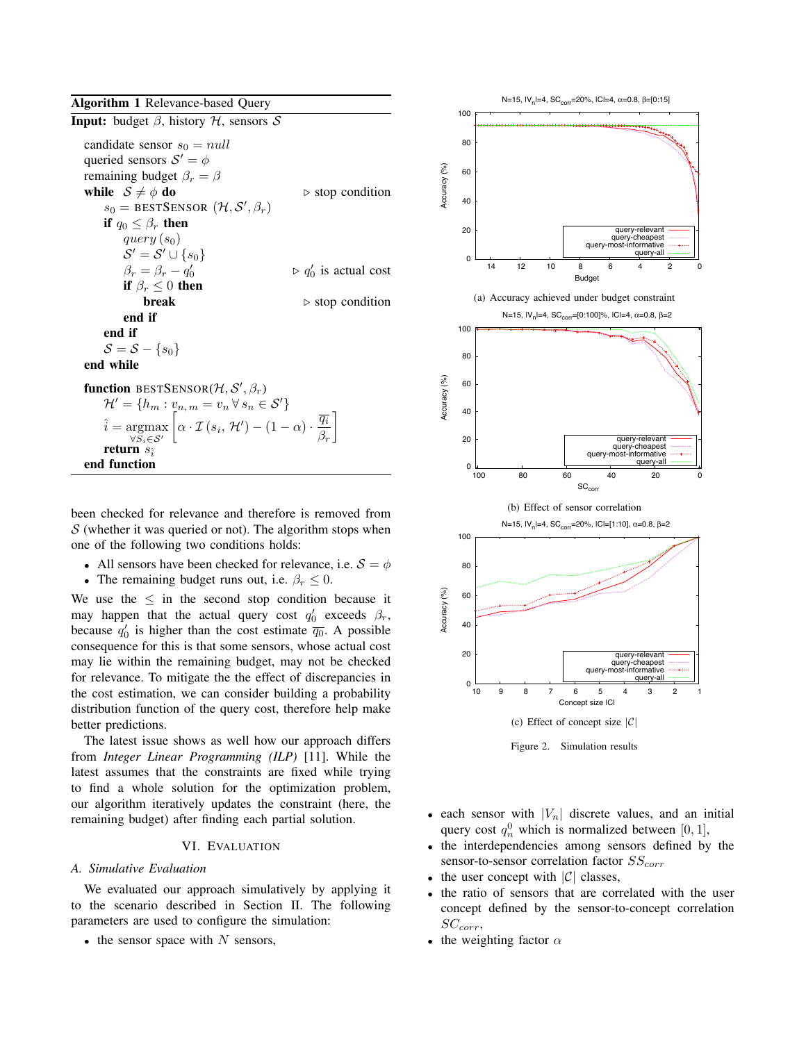| <b>Algorithm 1</b> Relevance-based Query                                                                                                                                                                                                                                                                                                                                                                                                                                                                                                                                                                                                                                                                                                                                                                                     |                                                                               |
|------------------------------------------------------------------------------------------------------------------------------------------------------------------------------------------------------------------------------------------------------------------------------------------------------------------------------------------------------------------------------------------------------------------------------------------------------------------------------------------------------------------------------------------------------------------------------------------------------------------------------------------------------------------------------------------------------------------------------------------------------------------------------------------------------------------------------|-------------------------------------------------------------------------------|
| <b>Input:</b> budget $\beta$ , history $\mathcal{H}$ , sensors $\mathcal{S}$                                                                                                                                                                                                                                                                                                                                                                                                                                                                                                                                                                                                                                                                                                                                                 | 100                                                                           |
| candidate sensor $s_0 = null$                                                                                                                                                                                                                                                                                                                                                                                                                                                                                                                                                                                                                                                                                                                                                                                                | 80                                                                            |
| queried sensors $S' = \phi$                                                                                                                                                                                                                                                                                                                                                                                                                                                                                                                                                                                                                                                                                                                                                                                                  |                                                                               |
| remaining budget $\beta_r = \beta$                                                                                                                                                                                                                                                                                                                                                                                                                                                                                                                                                                                                                                                                                                                                                                                           | Accuracy (%)<br>60                                                            |
| while $S \neq \phi$ do<br>$\triangleright$ stop condition                                                                                                                                                                                                                                                                                                                                                                                                                                                                                                                                                                                                                                                                                                                                                                    | 40                                                                            |
| $s_0 =$ BESTSENSOR $(\mathcal{H}, \mathcal{S}', \beta_r)$                                                                                                                                                                                                                                                                                                                                                                                                                                                                                                                                                                                                                                                                                                                                                                    |                                                                               |
| if $q_0 \leq \beta_r$ then<br>$query(s_0)$                                                                                                                                                                                                                                                                                                                                                                                                                                                                                                                                                                                                                                                                                                                                                                                   | 20                                                                            |
| $\mathcal{S}' = \mathcal{S}' \cup \{s_0\}$                                                                                                                                                                                                                                                                                                                                                                                                                                                                                                                                                                                                                                                                                                                                                                                   |                                                                               |
| $\beta_r = \beta_r - q'_0$<br>$\triangleright$ $q'_0$ is actual cost                                                                                                                                                                                                                                                                                                                                                                                                                                                                                                                                                                                                                                                                                                                                                         | 0                                                                             |
| if $\beta_r \leq 0$ then                                                                                                                                                                                                                                                                                                                                                                                                                                                                                                                                                                                                                                                                                                                                                                                                     |                                                                               |
| break<br>$\triangleright$ stop condition                                                                                                                                                                                                                                                                                                                                                                                                                                                                                                                                                                                                                                                                                                                                                                                     |                                                                               |
| end if                                                                                                                                                                                                                                                                                                                                                                                                                                                                                                                                                                                                                                                                                                                                                                                                                       |                                                                               |
| end if                                                                                                                                                                                                                                                                                                                                                                                                                                                                                                                                                                                                                                                                                                                                                                                                                       | 100                                                                           |
| $\mathcal{S} = \mathcal{S} - \{s_0\}$                                                                                                                                                                                                                                                                                                                                                                                                                                                                                                                                                                                                                                                                                                                                                                                        | 80                                                                            |
| end while                                                                                                                                                                                                                                                                                                                                                                                                                                                                                                                                                                                                                                                                                                                                                                                                                    |                                                                               |
| function BESTSENSOR( $H, S', \beta_r$ )                                                                                                                                                                                                                                                                                                                                                                                                                                                                                                                                                                                                                                                                                                                                                                                      | 60                                                                            |
| $\mathcal{H}'=\{h_m: \underline{v}_{n,\,m}=\underline{v}_n\,\forall\,s_n\in\mathcal{S}'\}$                                                                                                                                                                                                                                                                                                                                                                                                                                                                                                                                                                                                                                                                                                                                   | <b>Accuracy</b> (%)<br>40                                                     |
| $\hat{i} = \underset{\forall S_i \in \mathcal{S}'}{\operatorname{argmax}} \left[ \alpha \cdot \mathcal{I}\left(s_i, \, \mathcal{H}'\right) - \left(1 - \alpha\right) \cdot \frac{\overline{q_i}}{\beta_r} \right]$                                                                                                                                                                                                                                                                                                                                                                                                                                                                                                                                                                                                           |                                                                               |
| <b>return</b> $s_{\hat{i}}$                                                                                                                                                                                                                                                                                                                                                                                                                                                                                                                                                                                                                                                                                                                                                                                                  | 20                                                                            |
| end function                                                                                                                                                                                                                                                                                                                                                                                                                                                                                                                                                                                                                                                                                                                                                                                                                 | 0                                                                             |
| • All sensors have been checked for relevance, i.e. $\mathcal{S} = \phi$<br>• The remaining budget runs out, i.e. $\beta_r \leq 0$ .<br>We use the $\leq$ in the second stop condition because it<br>may happen that the actual query cost $q'_0$ exceeds $\beta_r$ ,<br>because $q'_0$ is higher than the cost estimate $\overline{q_0}$ . A possible<br>consequence for this is that some sensors, whose actual cost<br>may lie within the remaining budget, may not be checked<br>for relevance. To mitigate the the effect of discrepancies in<br>the cost estimation, we can consider building a probability<br>distribution function of the query cost, therefore help make<br>better predictions.<br>The latest issue shows as well how our approach differs<br>from Integer Linear Programming (ILP) [11]. While the | 80<br>Accuracy (%)<br>60<br>40<br>20<br>0                                     |
| latest assumes that the constraints are fixed while trying<br>to find a whole solution for the optimization problem,<br>our algorithm iteratively updates the constraint (here, the<br>remaining budget) after finding each partial solution.<br>VI. EVALUATION<br>A. Simulative Evaluation                                                                                                                                                                                                                                                                                                                                                                                                                                                                                                                                  | $\bullet$ each<br>query<br>$\bullet$ the in<br>senso                          |
| We evaluated our approach simulatively by applying it<br>to the scenario described in Section II. The following<br>parameters are used to configure the simulation:<br>$\bullet$ the sensor space with N sensors,                                                                                                                                                                                                                                                                                                                                                                                                                                                                                                                                                                                                            | $\bullet$ the us<br>$\bullet$ the ra<br>conce<br>$SC_{co}$<br>$\bullet$ the w |

- All sensors have been checked for relevance, i.e.  $\mathcal{S} = \phi$
- The remaining budget runs out, i.e.  $\beta_r \leq 0$ .

# VI. EVALUATION

# *A. Simulative Evaluation*



- each sensor with  $|V_n|$  discrete values, and an initial query cost  $q_n^0$  which is normalized between  $[0, 1]$ ,
- the interdependencies among sensors defined by the sensor-to-sensor correlation factor  $SS_{corr}$
- the user concept with  $|\mathcal{C}|$  classes,
- the ratio of sensors that are correlated with the user concept defined by the sensor-to-concept correlation  $SC_{corr}$
- the weighting factor  $\alpha$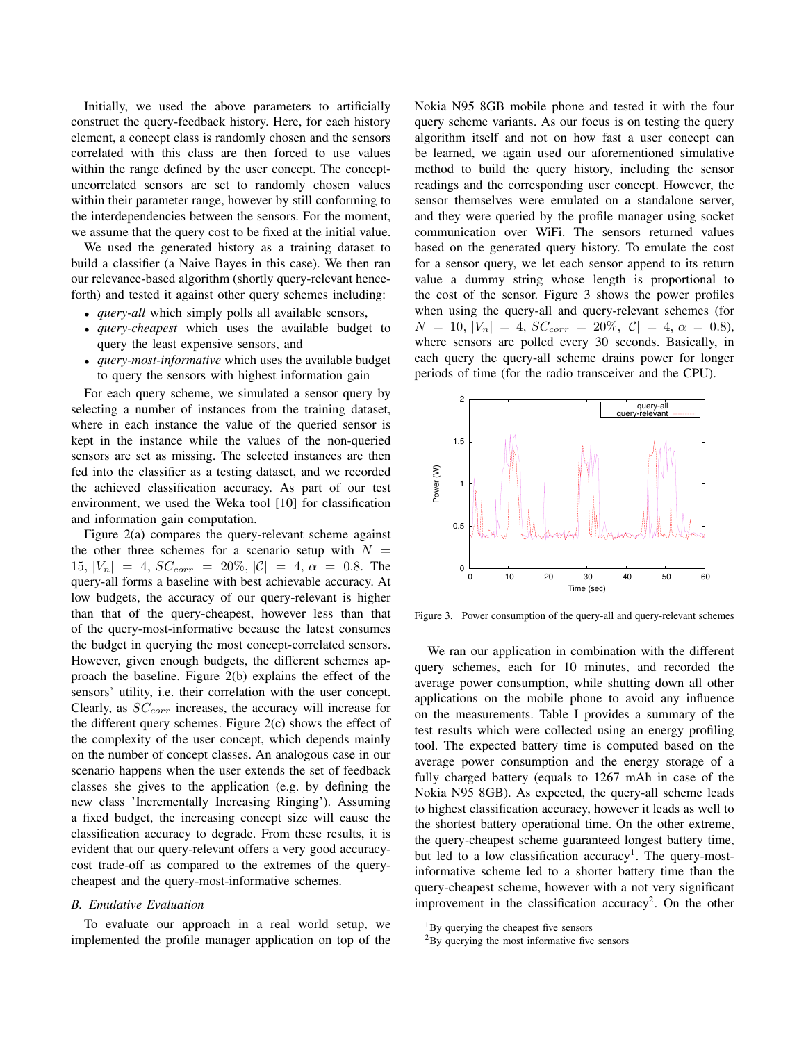Initially, we used the above parameters to artificially construct the query-feedback history. Here, for each history element, a concept class is randomly chosen and the sensors correlated with this class are then forced to use values within the range defined by the user concept. The conceptuncorrelated sensors are set to randomly chosen values within their parameter range, however by still conforming to the interdependencies between the sensors. For the moment, we assume that the query cost to be fixed at the initial value.

We used the generated history as a training dataset to build a classifier (a Naive Bayes in this case). We then ran our relevance-based algorithm (shortly query-relevant henceforth) and tested it against other query schemes including:

- *query-all* which simply polls all available sensors,
- *query-cheapest* which uses the available budget to query the least expensive sensors, and
- *query-most-informative* which uses the available budget to query the sensors with highest information gain

For each query scheme, we simulated a sensor query by selecting a number of instances from the training dataset, where in each instance the value of the queried sensor is kept in the instance while the values of the non-queried sensors are set as missing. The selected instances are then fed into the classifier as a testing dataset, and we recorded the achieved classification accuracy. As part of our test environment, we used the Weka tool [10] for classification and information gain computation.

Figure 2(a) compares the query-relevant scheme against the other three schemes for a scenario setup with  $N =$  $15, |V_n| = 4, SC_{corr} = 20\%, |\mathcal{C}| = 4, \alpha = 0.8$ . The query-all forms a baseline with best achievable accuracy. At low budgets, the accuracy of our query-relevant is higher than that of the query-cheapest, however less than that of the query-most-informative because the latest consumes the budget in querying the most concept-correlated sensors. However, given enough budgets, the different schemes approach the baseline. Figure 2(b) explains the effect of the sensors' utility, i.e. their correlation with the user concept. Clearly, as  $SC_{corr}$  increases, the accuracy will increase for the different query schemes. Figure 2(c) shows the effect of the complexity of the user concept, which depends mainly on the number of concept classes. An analogous case in our scenario happens when the user extends the set of feedback classes she gives to the application (e.g. by defining the new class 'Incrementally Increasing Ringing'). Assuming a fixed budget, the increasing concept size will cause the classification accuracy to degrade. From these results, it is evident that our query-relevant offers a very good accuracycost trade-off as compared to the extremes of the querycheapest and the query-most-informative schemes.

# *B. Emulative Evaluation*

To evaluate our approach in a real world setup, we implemented the profile manager application on top of the Nokia N95 8GB mobile phone and tested it with the four query scheme variants. As our focus is on testing the query algorithm itself and not on how fast a user concept can be learned, we again used our aforementioned simulative method to build the query history, including the sensor readings and the corresponding user concept. However, the sensor themselves were emulated on a standalone server, and they were queried by the profile manager using socket communication over WiFi. The sensors returned values based on the generated query history. To emulate the cost for a sensor query, we let each sensor append to its return value a dummy string whose length is proportional to the cost of the sensor. Figure 3 shows the power profiles when using the query-all and query-relevant schemes (for  $N = 10, |V_n| = 4, SC_{corr} = 20\%, |\mathcal{C}| = 4, \alpha = 0.8$ where sensors are polled every 30 seconds. Basically, in each query the query-all scheme drains power for longer periods of time (for the radio transceiver and the CPU).



Figure 3. Power consumption of the query-all and query-relevant schemes

We ran our application in combination with the different query schemes, each for 10 minutes, and recorded the average power consumption, while shutting down all other applications on the mobile phone to avoid any influence on the measurements. Table I provides a summary of the test results which were collected using an energy profiling tool. The expected battery time is computed based on the average power consumption and the energy storage of a fully charged battery (equals to 1267 mAh in case of the Nokia N95 8GB). As expected, the query-all scheme leads to highest classification accuracy, however it leads as well to the shortest battery operational time. On the other extreme, the query-cheapest scheme guaranteed longest battery time, but led to a low classification accuracy<sup>1</sup>. The query-mostinformative scheme led to a shorter battery time than the query-cheapest scheme, however with a not very significant improvement in the classification accuracy<sup>2</sup>. On the other

<sup>&</sup>lt;sup>1</sup>By querying the cheapest five sensors

<sup>2</sup>By querying the most informative five sensors